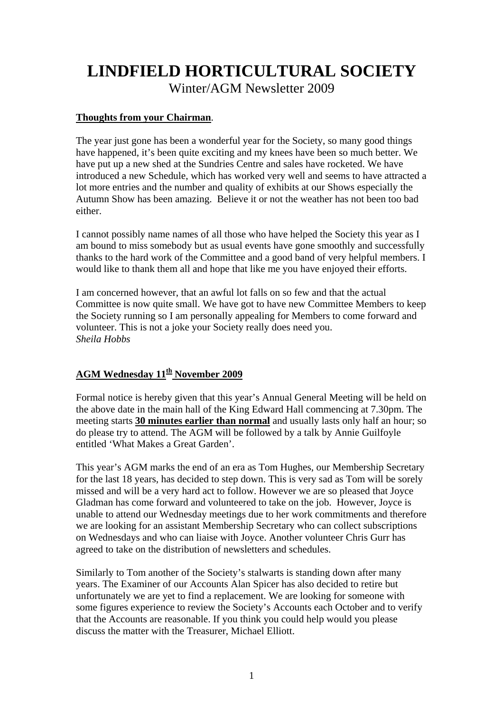# **LINDFIELD HORTICULTURAL SOCIETY**

Winter/AGM Newsletter 2009

#### **Thoughts from your Chairman**.

The year just gone has been a wonderful year for the Society, so many good things have happened, it's been quite exciting and my knees have been so much better. We have put up a new shed at the Sundries Centre and sales have rocketed. We have introduced a new Schedule, which has worked very well and seems to have attracted a lot more entries and the number and quality of exhibits at our Shows especially the Autumn Show has been amazing. Believe it or not the weather has not been too bad either.

I cannot possibly name names of all those who have helped the Society this year as I am bound to miss somebody but as usual events have gone smoothly and successfully thanks to the hard work of the Committee and a good band of very helpful members. I would like to thank them all and hope that like me you have enjoyed their efforts.

I am concerned however, that an awful lot falls on so few and that the actual Committee is now quite small. We have got to have new Committee Members to keep the Society running so I am personally appealing for Members to come forward and volunteer. This is not a joke your Society really does need you. *Sheila Hobbs* 

### AGM Wednesday  $11^{th}$  November 2009

Formal notice is hereby given that this year's Annual General Meeting will be held on the above date in the main hall of the King Edward Hall commencing at 7.30pm. The meeting starts **30 minutes earlier than normal** and usually lasts only half an hour; so do please try to attend. The AGM will be followed by a talk by Annie Guilfoyle entitled 'What Makes a Great Garden'.

This year's AGM marks the end of an era as Tom Hughes, our Membership Secretary for the last 18 years, has decided to step down. This is very sad as Tom will be sorely missed and will be a very hard act to follow. However we are so pleased that Joyce Gladman has come forward and volunteered to take on the job. However, Joyce is unable to attend our Wednesday meetings due to her work commitments and therefore we are looking for an assistant Membership Secretary who can collect subscriptions on Wednesdays and who can liaise with Joyce. Another volunteer Chris Gurr has agreed to take on the distribution of newsletters and schedules.

Similarly to Tom another of the Society's stalwarts is standing down after many years. The Examiner of our Accounts Alan Spicer has also decided to retire but unfortunately we are yet to find a replacement. We are looking for someone with some figures experience to review the Society's Accounts each October and to verify that the Accounts are reasonable. If you think you could help would you please discuss the matter with the Treasurer, Michael Elliott.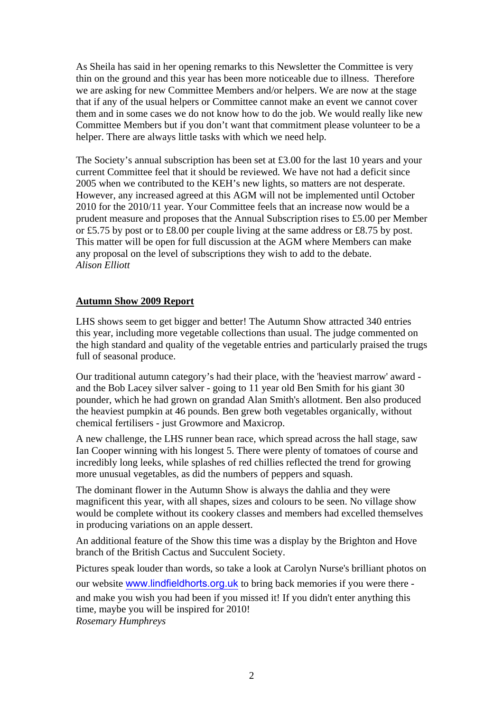As Sheila has said in her opening remarks to this Newsletter the Committee is very thin on the ground and this year has been more noticeable due to illness. Therefore we are asking for new Committee Members and/or helpers. We are now at the stage that if any of the usual helpers or Committee cannot make an event we cannot cover them and in some cases we do not know how to do the job. We would really like new Committee Members but if you don't want that commitment please volunteer to be a helper. There are always little tasks with which we need help.

The Society's annual subscription has been set at £3.00 for the last 10 years and your current Committee feel that it should be reviewed. We have not had a deficit since 2005 when we contributed to the KEH's new lights, so matters are not desperate. However, any increased agreed at this AGM will not be implemented until October 2010 for the 2010/11 year. Your Committee feels that an increase now would be a prudent measure and proposes that the Annual Subscription rises to £5.00 per Member or £5.75 by post or to £8.00 per couple living at the same address or £8.75 by post. This matter will be open for full discussion at the AGM where Members can make any proposal on the level of subscriptions they wish to add to the debate. *Alison Elliott* 

#### **Autumn Show 2009 Report**

LHS shows seem to get bigger and better! The Autumn Show attracted 340 entries this year, including more vegetable collections than usual. The judge commented on the high standard and quality of the vegetable entries and particularly praised the trugs full of seasonal produce.

Our traditional autumn category's had their place, with the 'heaviest marrow' award and the Bob Lacey silver salver - going to 11 year old Ben Smith for his giant 30 pounder, which he had grown on grandad Alan Smith's allotment. Ben also produced the heaviest pumpkin at 46 pounds. Ben grew both vegetables organically, without chemical fertilisers - just Growmore and Maxicrop.

A new challenge, the LHS runner bean race, which spread across the hall stage, saw Ian Cooper winning with his longest 5. There were plenty of tomatoes of course and incredibly long leeks, while splashes of red chillies reflected the trend for growing more unusual vegetables, as did the numbers of peppers and squash.

The dominant flower in the Autumn Show is always the dahlia and they were magnificent this year, with all shapes, sizes and colours to be seen. No village show would be complete without its cookery classes and members had excelled themselves in producing variations on an apple dessert.

An additional feature of the Show this time was a display by the Brighton and Hove branch of the British Cactus and Succulent Society.

Pictures speak louder than words, so take a look at Carolyn Nurse's brilliant photos on our website [www.lindfieldhorts.org.uk](http://www.lindfieldhorts.org.uk/) to bring back memories if you were there and make you wish you had been if you missed it! If you didn't enter anything this time, maybe you will be inspired for 2010! *Rosemary Humphreys*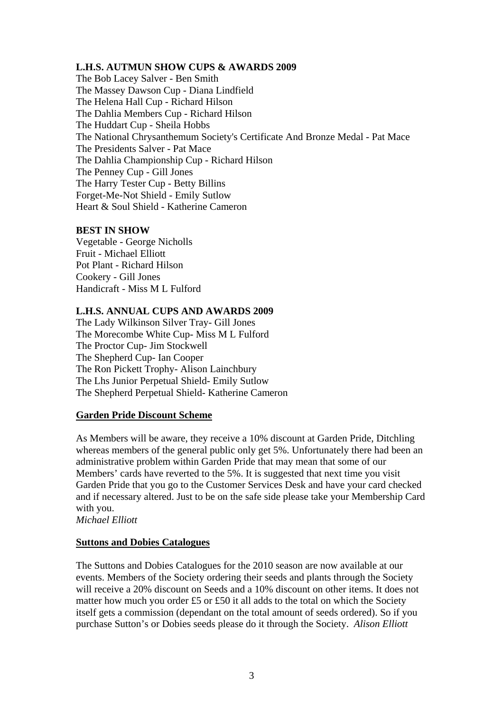#### **L.H.S. AUTMUN SHOW CUPS & AWARDS 2009**

The Bob Lacey Salver - Ben Smith The Massey Dawson Cup - Diana Lindfield The Helena Hall Cup - Richard Hilson The Dahlia Members Cup - Richard Hilson The Huddart Cup - Sheila Hobbs The National Chrysanthemum Society's Certificate And Bronze Medal - Pat Mace The Presidents Salver - Pat Mace The Dahlia Championship Cup - Richard Hilson The Penney Cup - Gill Jones The Harry Tester Cup - Betty Billins Forget-Me-Not Shield - Emily Sutlow Heart & Soul Shield - Katherine Cameron

#### **BEST IN SHOW**

Vegetable - George Nicholls Fruit - Michael Elliott Pot Plant - Richard Hilson Cookery - Gill Jones Handicraft - Miss M L Fulford

#### **L.H.S. ANNUAL CUPS AND AWARDS 2009**

The Lady Wilkinson Silver Tray- Gill Jones The Morecombe White Cup- Miss M L Fulford The Proctor Cup- Jim Stockwell The Shepherd Cup- Ian Cooper The Ron Pickett Trophy- Alison Lainchbury The Lhs Junior Perpetual Shield- Emily Sutlow The Shepherd Perpetual Shield- Katherine Cameron

#### **Garden Pride Discount Scheme**

As Members will be aware, they receive a 10% discount at Garden Pride, Ditchling whereas members of the general public only get 5%. Unfortunately there had been an administrative problem within Garden Pride that may mean that some of our Members' cards have reverted to the 5%. It is suggested that next time you visit Garden Pride that you go to the Customer Services Desk and have your card checked and if necessary altered. Just to be on the safe side please take your Membership Card with you.

*Michael Elliott* 

#### **Suttons and Dobies Catalogues**

The Suttons and Dobies Catalogues for the 2010 season are now available at our events. Members of the Society ordering their seeds and plants through the Society will receive a 20% discount on Seeds and a 10% discount on other items. It does not matter how much you order £5 or £50 it all adds to the total on which the Society itself gets a commission (dependant on the total amount of seeds ordered). So if you purchase Sutton's or Dobies seeds please do it through the Society. *Alison Elliott*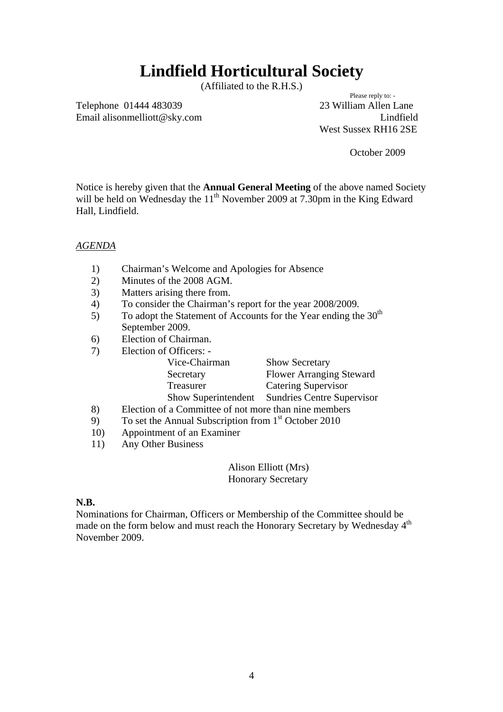## **Lindfield Horticultural Society**

(Affiliated to the R.H.S.)<br>Please reply to: -

Telephone 01444 483039 23 William Allen Lane Email alisonmelliott@sky.com Lindfield

West Sussex RH16 2SE

October 2009

Notice is hereby given that the **Annual General Meeting** of the above named Society will be held on Wednesday the 11<sup>th</sup> November 2009 at 7.30pm in the King Edward Hall, Lindfield.

#### *AGENDA*

- 1) Chairman's Welcome and Apologies for Absence
- 2) Minutes of the 2008 AGM.
- 3) Matters arising there from.
- 4) To consider the Chairman's report for the year 2008/2009.
- 5) To adopt the Statement of Accounts for the Year ending the  $30<sup>th</sup>$ September 2009.
- 6) Election of Chairman.
- 7) Election of Officers: -

| <b>Show Secretary</b>             |
|-----------------------------------|
| <b>Flower Arranging Steward</b>   |
| <b>Catering Supervisor</b>        |
| <b>Sundries Centre Supervisor</b> |
|                                   |

- 8) Election of a Committee of not more than nine members
- 9) To set the Annual Subscription from  $1<sup>st</sup>$  October 2010
- 10) Appointment of an Examiner
- 11) Any Other Business

Alison Elliott (Mrs) Honorary Secretary

#### **N.B.**

Nominations for Chairman, Officers or Membership of the Committee should be made on the form below and must reach the Honorary Secretary by Wednesday 4<sup>th</sup> November 2009.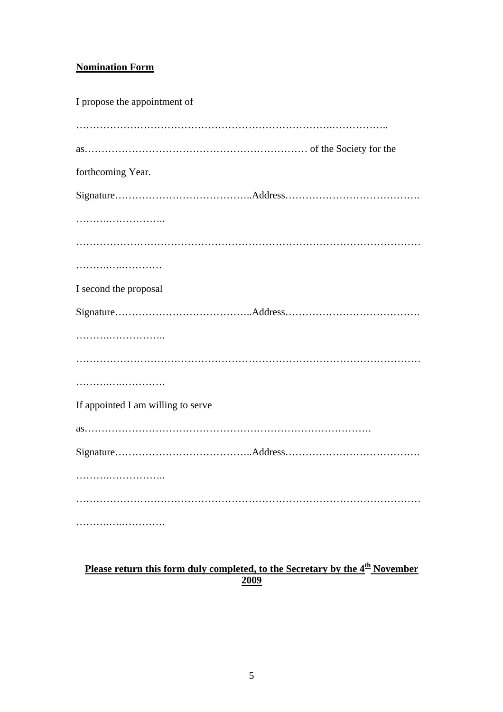## **Nomination Form**

| I propose the appointment of       |  |
|------------------------------------|--|
|                                    |  |
| forthcoming Year.                  |  |
|                                    |  |
|                                    |  |
|                                    |  |
|                                    |  |
| I second the proposal              |  |
|                                    |  |
|                                    |  |
|                                    |  |
|                                    |  |
| If appointed I am willing to serve |  |
|                                    |  |
|                                    |  |
|                                    |  |
|                                    |  |
|                                    |  |

### **Please return this form duly completed, to the Secretary by the 4th November 2009**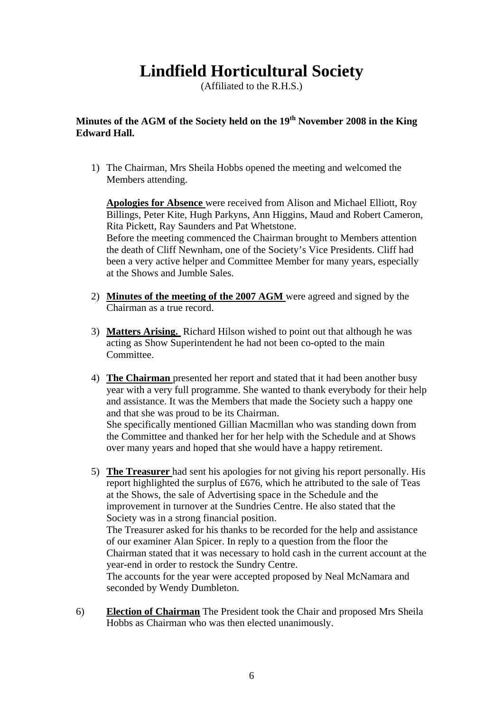## **Lindfield Horticultural Society**

(Affiliated to the R.H.S.)

## **Minutes of the AGM of the Society held on the 19th November 2008 in the King Edward Hall.**

1) The Chairman, Mrs Sheila Hobbs opened the meeting and welcomed the Members attending.

**Apologies for Absence** were received from Alison and Michael Elliott, Roy Billings, Peter Kite, Hugh Parkyns, Ann Higgins, Maud and Robert Cameron, Rita Pickett, Ray Saunders and Pat Whetstone. Before the meeting commenced the Chairman brought to Members attention the death of Cliff Newnham, one of the Society's Vice Presidents. Cliff had been a very active helper and Committee Member for many years, especially at the Shows and Jumble Sales.

- 2) **Minutes of the meeting of the 2007 AGM** were agreed and signed by the Chairman as a true record.
- 3) **Matters Arising.** Richard Hilson wished to point out that although he was acting as Show Superintendent he had not been co-opted to the main Committee.
- 4) **The Chairman** presented her report and stated that it had been another busy year with a very full programme. She wanted to thank everybody for their help and assistance. It was the Members that made the Society such a happy one and that she was proud to be its Chairman. She specifically mentioned Gillian Macmillan who was standing down from the Committee and thanked her for her help with the Schedule and at Shows

over many years and hoped that she would have a happy retirement.

- 5) **The Treasurer** had sent his apologies for not giving his report personally. His report highlighted the surplus of £676, which he attributed to the sale of Teas at the Shows, the sale of Advertising space in the Schedule and the improvement in turnover at the Sundries Centre. He also stated that the Society was in a strong financial position. The Treasurer asked for his thanks to be recorded for the help and assistance of our examiner Alan Spicer. In reply to a question from the floor the Chairman stated that it was necessary to hold cash in the current account at the year-end in order to restock the Sundry Centre. The accounts for the year were accepted proposed by Neal McNamara and seconded by Wendy Dumbleton.
- 6) **Election of Chairman** The President took the Chair and proposed Mrs Sheila Hobbs as Chairman who was then elected unanimously.